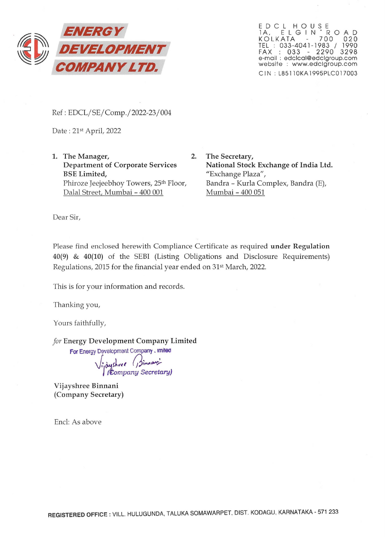

EDCL HOUSE<br>1A, ELGIN'ROAD KOLKATA 700 020 TEL : 033-4041-1983 / 1990 FAX : 033 - 2290 3298 e-mail : edclcal@edclgroup.com website : www.edclgroup.com C IN: L8511 OKA 1995PLCO 17003

Ref: EDCL/SE/Comp./2022-23/004

Date: 21st April, 2022

1. The Manager, 2. Department of Corporate Services BSE Limited, Phiroze Jeejeebhoy Towers, 25<sup>th</sup> Floor, Dalal Street, Mumbai - 400 001

The Secretary, National Stock Exchange of India Ltd. "Exchange Plaza", Bandra - Kurla Complex, Bandra (E), Mumbai - 400 051

Dear Sir,

Please find enclosed herewith Compliance Certificate as required under Regulation 40(9) & 40(10) of the SEBI (Listing Obligations and Disclosure Requirements) Regulations, 2015 for the financial year ended on 31st March, 2022.

This is for your information and records.

Thanking you,

Yours faithfully,

*for* Energy Development Company Limited

For Energy Development Company. Imited<br> *J, dyshree (Jimman)*<br>Company Secretary)

Vijayshree Binnani (Company Secretary)

Encl: As above